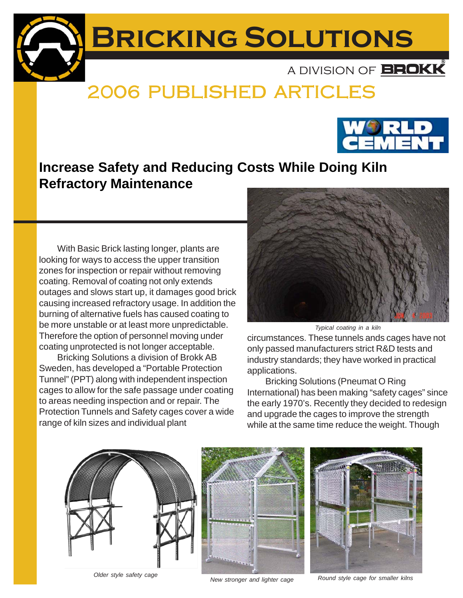

## 2006 PUBLISHED ARTICLES 2006 PUBLISHED ARTICLES



With Basic Brick lasting longer, plants are looking for ways to access the upper transition zones for inspection or repair without removing coating. Removal of coating not only extends outages and slows start up, it damages good brick causing increased refractory usage. In addition the burning of alternative fuels has caused coating to be more unstable or at least more unpredictable. Therefore the option of personnel moving under coating unprotected is not longer acceptable.

Bricking Solutions a division of Brokk AB Sweden, has developed a "Portable Protection Tunnel" (PPT) along with independent inspection cages to allow for the safe passage under coating to areas needing inspection and or repair. The Protection Tunnels and Safety cages cover a wide range of kiln sizes and individual plant



*Typical coating in a kiln*

circumstances. These tunnels ands cages have not only passed manufacturers strict R&D tests and industry standards; they have worked in practical applications.

Bricking Solutions (Pneumat O Ring International) has been making "safety cages" since the early 1970's. Recently they decided to redesign and upgrade the cages to improve the strength while at the same time reduce the weight. Though







*New stronger and lighter cage Round style cage for smaller kilns Older style safety cage*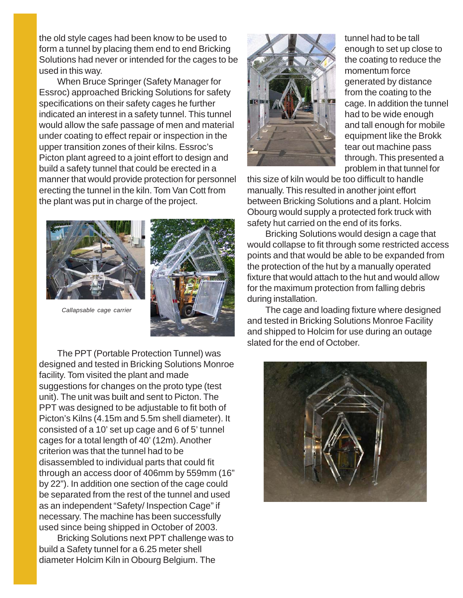the old style cages had been know to be used to form a tunnel by placing them end to end Bricking Solutions had never or intended for the cages to be used in this way.

When Bruce Springer (Safety Manager for Essroc) approached Bricking Solutions for safety specifications on their safety cages he further indicated an interest in a safety tunnel. This tunnel would allow the safe passage of men and material under coating to effect repair or inspection in the upper transition zones of their kilns. Essroc's Picton plant agreed to a joint effort to design and build a safety tunnel that could be erected in a manner that would provide protection for personnel erecting the tunnel in the kiln. Tom Van Cott from the plant was put in charge of the project.





*Callapsable cage carrier*

The PPT (Portable Protection Tunnel) was designed and tested in Bricking Solutions Monroe facility. Tom visited the plant and made suggestions for changes on the proto type (test unit). The unit was built and sent to Picton. The PPT was designed to be adjustable to fit both of Picton's Kilns (4.15m and 5.5m shell diameter). It consisted of a 10' set up cage and 6 of 5' tunnel cages for a total length of 40' (12m). Another criterion was that the tunnel had to be disassembled to individual parts that could fit through an access door of 406mm by 559mm (16" by 22"). In addition one section of the cage could be separated from the rest of the tunnel and used as an independent "Safety/ Inspection Cage" if necessary. The machine has been successfully used since being shipped in October of 2003.

Bricking Solutions next PPT challenge was to build a Safety tunnel for a 6.25 meter shell diameter Holcim Kiln in Obourg Belgium. The



tunnel had to be tall enough to set up close to the coating to reduce the momentum force generated by distance from the coating to the cage. In addition the tunnel had to be wide enough and tall enough for mobile equipment like the Brokk tear out machine pass through. This presented a problem in that tunnel for

this size of kiln would be too difficult to handle manually. This resulted in another joint effort between Bricking Solutions and a plant. Holcim Obourg would supply a protected fork truck with safety hut carried on the end of its forks.

Bricking Solutions would design a cage that would collapse to fit through some restricted access points and that would be able to be expanded from the protection of the hut by a manually operated fixture that would attach to the hut and would allow for the maximum protection from falling debris during installation.

The cage and loading fixture where designed and tested in Bricking Solutions Monroe Facility and shipped to Holcim for use during an outage slated for the end of October.